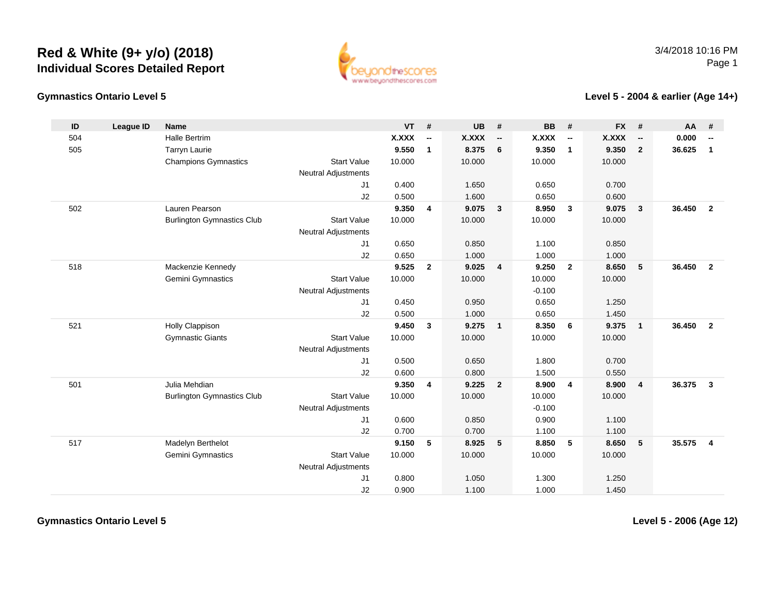

### **Gymnastics Ontario Level 5**

### **Level 5 - 2004 & earlier (Age 14+)**

| ID  | <b>League ID</b> | <b>Name</b>                       |                            | <b>VT</b> | #                        | <b>UB</b>    | #                          | <b>BB</b> | #                        | <b>FX</b> | #                        | AA     | #                        |
|-----|------------------|-----------------------------------|----------------------------|-----------|--------------------------|--------------|----------------------------|-----------|--------------------------|-----------|--------------------------|--------|--------------------------|
| 504 |                  | <b>Halle Bertrim</b>              |                            | X.XXX     | $\overline{\phantom{a}}$ | <b>X.XXX</b> | $\overline{\phantom{a}}$   | X.XXX     | $\overline{\phantom{a}}$ | X.XXX     | $\overline{\phantom{a}}$ | 0.000  | $\overline{\phantom{a}}$ |
| 505 |                  | <b>Tarryn Laurie</b>              |                            | 9.550     | $\mathbf{1}$             | 8.375        | 6                          | 9.350     | $\mathbf{1}$             | 9.350     | $\overline{2}$           | 36.625 | $\mathbf{1}$             |
|     |                  | <b>Champions Gymnastics</b>       | <b>Start Value</b>         | 10.000    |                          | 10.000       |                            | 10.000    |                          | 10.000    |                          |        |                          |
|     |                  |                                   | <b>Neutral Adjustments</b> |           |                          |              |                            |           |                          |           |                          |        |                          |
|     |                  |                                   | J1                         | 0.400     |                          | 1.650        |                            | 0.650     |                          | 0.700     |                          |        |                          |
|     |                  |                                   | J2                         | 0.500     |                          | 1.600        |                            | 0.650     |                          | 0.600     |                          |        |                          |
| 502 |                  | Lauren Pearson                    |                            | 9.350     | 4                        | 9.075        | $\overline{\mathbf{3}}$    | 8.950     | $\mathbf{3}$             | 9.075     | $\mathbf{3}$             | 36.450 | $\overline{\mathbf{2}}$  |
|     |                  | <b>Burlington Gymnastics Club</b> | <b>Start Value</b>         | 10.000    |                          | 10.000       |                            | 10.000    |                          | 10.000    |                          |        |                          |
|     |                  |                                   | <b>Neutral Adjustments</b> |           |                          |              |                            |           |                          |           |                          |        |                          |
|     |                  |                                   | J <sub>1</sub>             | 0.650     |                          | 0.850        |                            | 1.100     |                          | 0.850     |                          |        |                          |
|     |                  |                                   | J2                         | 0.650     |                          | 1.000        |                            | 1.000     |                          | 1.000     |                          |        |                          |
| 518 |                  | Mackenzie Kennedy                 |                            | 9.525     | $\overline{2}$           | 9.025        | $\overline{4}$             | 9.250     | $\overline{2}$           | 8.650     | 5                        | 36.450 | $\overline{\mathbf{2}}$  |
|     |                  | Gemini Gymnastics                 | <b>Start Value</b>         | 10.000    |                          | 10.000       |                            | 10.000    |                          | 10.000    |                          |        |                          |
|     |                  |                                   | <b>Neutral Adjustments</b> |           |                          |              |                            | $-0.100$  |                          |           |                          |        |                          |
|     |                  |                                   | J <sub>1</sub>             | 0.450     |                          | 0.950        |                            | 0.650     |                          | 1.250     |                          |        |                          |
|     |                  |                                   | J2                         | 0.500     |                          | 1.000        |                            | 0.650     |                          | 1.450     |                          |        |                          |
| 521 |                  | Holly Clappison                   |                            | 9.450     | $\mathbf{3}$             | 9.275        | $\overline{\phantom{0}}$ 1 | 8.350     | 6                        | 9.375     | $\mathbf{1}$             | 36.450 | $\overline{2}$           |
|     |                  | <b>Gymnastic Giants</b>           | <b>Start Value</b>         | 10.000    |                          | 10.000       |                            | 10.000    |                          | 10.000    |                          |        |                          |
|     |                  |                                   | <b>Neutral Adjustments</b> |           |                          |              |                            |           |                          |           |                          |        |                          |
|     |                  |                                   | J1                         | 0.500     |                          | 0.650        |                            | 1.800     |                          | 0.700     |                          |        |                          |
|     |                  |                                   | J2                         | 0.600     |                          | 0.800        |                            | 1.500     |                          | 0.550     |                          |        |                          |
| 501 |                  | Julia Mehdian                     |                            | 9.350     | 4                        | 9.225        | $\overline{\mathbf{2}}$    | 8.900     | $\overline{\mathbf{4}}$  | 8.900     | $\overline{4}$           | 36.375 | $\overline{\mathbf{3}}$  |
|     |                  | <b>Burlington Gymnastics Club</b> | <b>Start Value</b>         | 10.000    |                          | 10.000       |                            | 10.000    |                          | 10.000    |                          |        |                          |
|     |                  |                                   | <b>Neutral Adjustments</b> |           |                          |              |                            | $-0.100$  |                          |           |                          |        |                          |
|     |                  |                                   | J1                         | 0.600     |                          | 0.850        |                            | 0.900     |                          | 1.100     |                          |        |                          |
|     |                  |                                   | J2                         | 0.700     |                          | 0.700        |                            | 1.100     |                          | 1.100     |                          |        |                          |
| 517 |                  | Madelyn Berthelot                 |                            | 9.150     | 5                        | 8.925        | 5                          | 8.850     | 5                        | 8.650     | 5                        | 35.575 | $\overline{4}$           |
|     |                  | Gemini Gymnastics                 | <b>Start Value</b>         | 10.000    |                          | 10.000       |                            | 10.000    |                          | 10.000    |                          |        |                          |
|     |                  |                                   | <b>Neutral Adjustments</b> |           |                          |              |                            |           |                          |           |                          |        |                          |
|     |                  |                                   | J1                         | 0.800     |                          | 1.050        |                            | 1.300     |                          | 1.250     |                          |        |                          |
|     |                  |                                   | J2                         | 0.900     |                          | 1.100        |                            | 1.000     |                          | 1.450     |                          |        |                          |

**Gymnastics Ontario Level 5**

**Level 5 - 2006 (Age 12)**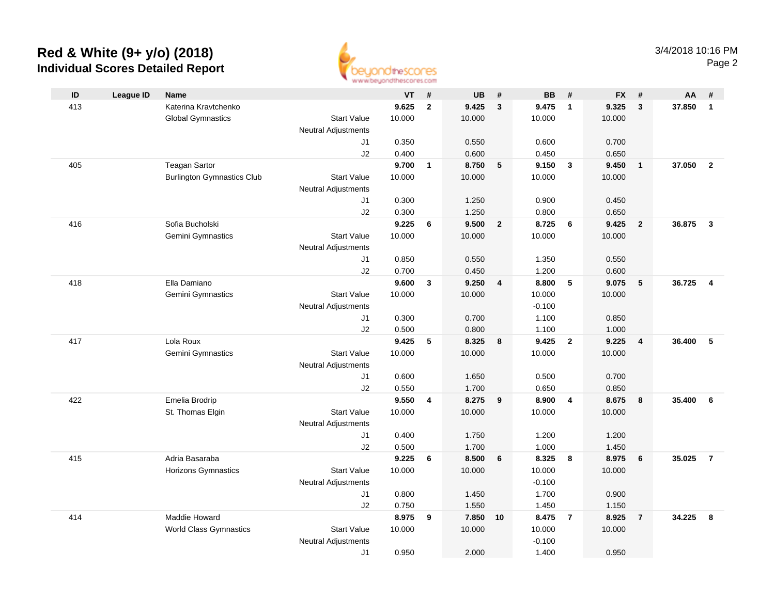

|     |                  |                                   |                            | an an aaronadhuu uman sinast |              |                |                 |                |                         |                |                 |        |                         |
|-----|------------------|-----------------------------------|----------------------------|------------------------------|--------------|----------------|-----------------|----------------|-------------------------|----------------|-----------------|--------|-------------------------|
| ID  | <b>League ID</b> | <b>Name</b>                       |                            | <b>VT</b>                    | #            | <b>UB</b>      | #               | <b>BB</b>      | #                       | <b>FX</b>      | #               | AA     | #                       |
| 413 |                  | Katerina Kravtchenko              |                            | 9.625                        | $\mathbf{2}$ | 9.425          | $\mathbf{3}$    | 9.475          | $\overline{\mathbf{1}}$ | 9.325          | $\mathbf{3}$    | 37.850 | $\mathbf{1}$            |
|     |                  | <b>Global Gymnastics</b>          | <b>Start Value</b>         | 10.000                       |              | 10.000         |                 | 10.000         |                         | 10.000         |                 |        |                         |
|     |                  |                                   | <b>Neutral Adjustments</b> |                              |              |                |                 |                |                         |                |                 |        |                         |
|     |                  |                                   | J1                         | 0.350                        |              | 0.550          |                 | 0.600          |                         | 0.700          |                 |        |                         |
|     |                  |                                   | J2                         | 0.400                        |              | 0.600          |                 | 0.450          |                         | 0.650          |                 |        |                         |
| 405 |                  | <b>Teagan Sartor</b>              |                            | 9.700                        | $\mathbf{1}$ | 8.750          | $5\phantom{.0}$ | 9.150          | $\mathbf{3}$            | 9.450          | $\overline{1}$  | 37.050 | $\overline{2}$          |
|     |                  | <b>Burlington Gymnastics Club</b> | <b>Start Value</b>         | 10.000                       |              | 10.000         |                 | 10.000         |                         | 10.000         |                 |        |                         |
|     |                  |                                   | <b>Neutral Adjustments</b> |                              |              |                |                 |                |                         |                |                 |        |                         |
|     |                  |                                   | J1                         | 0.300                        |              | 1.250          |                 | 0.900          |                         | 0.450          |                 |        |                         |
|     |                  |                                   | J2                         | 0.300                        |              | 1.250          |                 | 0.800          |                         | 0.650          |                 |        |                         |
| 416 |                  | Sofia Bucholski                   |                            | 9.225                        | 6            | 9.500          | $\overline{2}$  | 8.725          | 6                       | 9.425          | $\overline{2}$  | 36.875 | $\mathbf{3}$            |
|     |                  | Gemini Gymnastics                 | <b>Start Value</b>         | 10.000                       |              | 10.000         |                 | 10.000         |                         | 10.000         |                 |        |                         |
|     |                  |                                   | <b>Neutral Adjustments</b> |                              |              |                |                 |                |                         |                |                 |        |                         |
|     |                  |                                   | J1                         | 0.850                        |              | 0.550          |                 | 1.350          |                         | 0.550          |                 |        |                         |
|     |                  |                                   | J2                         | 0.700                        |              | 0.450          |                 | 1.200          |                         | 0.600          |                 |        |                         |
| 418 |                  | Ella Damiano                      |                            | 9.600                        | $\mathbf{3}$ | 9.250          | $\overline{4}$  | 8.800          | 5                       | 9.075          | $5\phantom{.0}$ | 36.725 | $\overline{\mathbf{4}}$ |
|     |                  | Gemini Gymnastics                 | <b>Start Value</b>         | 10.000                       |              | 10.000         |                 | 10.000         |                         | 10.000         |                 |        |                         |
|     |                  |                                   | <b>Neutral Adjustments</b> |                              |              |                |                 | $-0.100$       |                         |                |                 |        |                         |
|     |                  |                                   | J1                         | 0.300                        |              | 0.700          |                 | 1.100          |                         | 0.850          |                 |        |                         |
|     |                  |                                   | J2                         | 0.500                        |              | 0.800          |                 | 1.100          |                         | 1.000          |                 |        |                         |
| 417 |                  | Lola Roux                         |                            | 9.425                        | 5            | 8.325          | 8               | 9.425          | $\overline{2}$          | 9.225          | $\overline{4}$  | 36.400 | 5                       |
|     |                  | <b>Gemini Gymnastics</b>          | <b>Start Value</b>         | 10.000                       |              | 10.000         |                 | 10.000         |                         | 10.000         |                 |        |                         |
|     |                  |                                   | <b>Neutral Adjustments</b> |                              |              |                |                 |                |                         |                |                 |        |                         |
|     |                  |                                   | J1                         | 0.600                        |              | 1.650          |                 | 0.500          |                         | 0.700          |                 |        |                         |
|     |                  |                                   | J2                         | 0.550                        |              | 1.700          |                 | 0.650          |                         | 0.850          |                 |        |                         |
| 422 |                  | Emelia Brodrip                    |                            | 9.550                        | 4            | 8.275          | 9               | 8.900          | $\overline{4}$          | 8.675          | 8               | 35,400 | 6                       |
|     |                  | St. Thomas Elgin                  | <b>Start Value</b>         | 10.000                       |              | 10.000         |                 | 10.000         |                         | 10.000         |                 |        |                         |
|     |                  |                                   | <b>Neutral Adjustments</b> |                              |              |                |                 |                |                         |                |                 |        |                         |
|     |                  |                                   | J1                         | 0.400<br>0.500               |              | 1.750<br>1.700 |                 | 1.200<br>1.000 |                         | 1.200<br>1.450 |                 |        |                         |
| 415 |                  | Adria Basaraba                    | J2                         | 9.225                        | 6            | 8.500          | 6               | 8.325          | - 8                     | 8.975          | 6               | 35.025 | $\overline{7}$          |
|     |                  | <b>Horizons Gymnastics</b>        | <b>Start Value</b>         | 10.000                       |              | 10.000         |                 | 10.000         |                         | 10.000         |                 |        |                         |
|     |                  |                                   | <b>Neutral Adjustments</b> |                              |              |                |                 | $-0.100$       |                         |                |                 |        |                         |
|     |                  |                                   | J1                         | 0.800                        |              | 1.450          |                 | 1.700          |                         | 0.900          |                 |        |                         |
|     |                  |                                   | J2                         | 0.750                        |              | 1.550          |                 | 1.450          |                         | 1.150          |                 |        |                         |
| 414 |                  | Maddie Howard                     |                            | 8.975                        | 9            | 7.850          | 10              | 8.475          | $\overline{7}$          | 8.925          | $\overline{7}$  | 34.225 | 8                       |
|     |                  | <b>World Class Gymnastics</b>     | <b>Start Value</b>         | 10.000                       |              | 10.000         |                 | 10.000         |                         | 10.000         |                 |        |                         |
|     |                  |                                   | <b>Neutral Adjustments</b> |                              |              |                |                 | $-0.100$       |                         |                |                 |        |                         |
|     |                  |                                   | J1                         | 0.950                        |              | 2.000          |                 | 1.400          |                         | 0.950          |                 |        |                         |
|     |                  |                                   |                            |                              |              |                |                 |                |                         |                |                 |        |                         |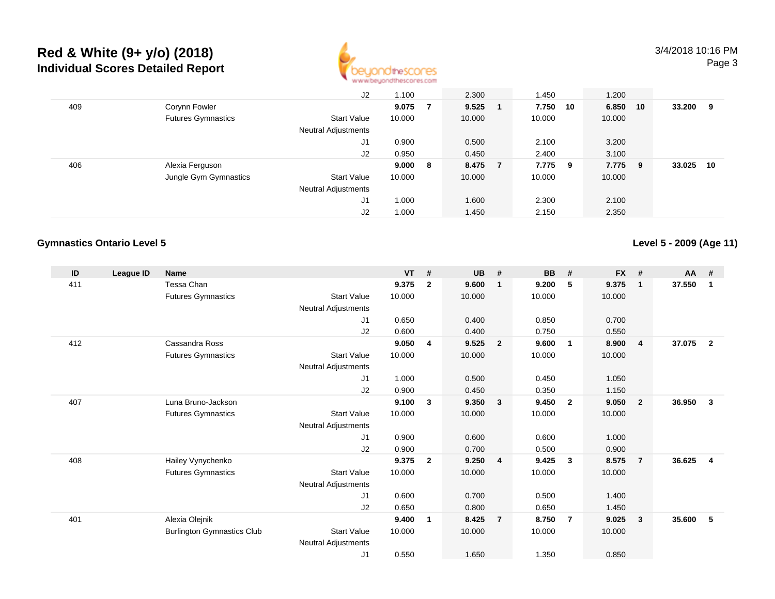

|     |                           | J2                         | 1.100  |     | 2.300  |                | 1.450   |    | 1.200  |     |        |    |
|-----|---------------------------|----------------------------|--------|-----|--------|----------------|---------|----|--------|-----|--------|----|
| 409 | Corynn Fowler             |                            | 9.075  | 7   | 9.525  |                | 7.750   | 10 | 6.850  | 10  | 33.200 | 9  |
|     | <b>Futures Gymnastics</b> | <b>Start Value</b>         | 10.000 |     | 10.000 |                | 10.000  |    | 10.000 |     |        |    |
|     |                           | <b>Neutral Adjustments</b> |        |     |        |                |         |    |        |     |        |    |
|     |                           | J1                         | 0.900  |     | 0.500  |                | 2.100   |    | 3.200  |     |        |    |
|     |                           | J2                         | 0.950  |     | 0.450  |                | 2.400   |    | 3.100  |     |        |    |
| 406 | Alexia Ferguson           |                            | 9.000  | - 8 | 8.475  | $\overline{7}$ | 7.775 9 |    | 7.775  | - 9 | 33.025 | 10 |
|     | Jungle Gym Gymnastics     | <b>Start Value</b>         | 10.000 |     | 10.000 |                | 10.000  |    | 10.000 |     |        |    |
|     |                           | <b>Neutral Adjustments</b> |        |     |        |                |         |    |        |     |        |    |
|     |                           | J1                         | 1.000  |     | 1.600  |                | 2.300   |    | 2.100  |     |        |    |
|     |                           | J <sub>2</sub>             | 1.000  |     | 1.450  |                | 2.150   |    | 2.350  |     |        |    |

### **Gymnastics Ontario Level 5**

**Level 5 - 2009 (Age 11)**

| ID  | <b>League ID</b> | <b>Name</b>                       |                            | <b>VT</b> | #            | <b>UB</b> | #                       | <b>BB</b> | #              | <b>FX</b> | #              | <b>AA</b> | #              |
|-----|------------------|-----------------------------------|----------------------------|-----------|--------------|-----------|-------------------------|-----------|----------------|-----------|----------------|-----------|----------------|
| 411 |                  | Tessa Chan                        |                            | 9.375     |              | 9.600     |                         | 9.200     | 5              | 9.375     |                | 37.550    |                |
|     |                  |                                   |                            |           | $\mathbf{2}$ |           | -1                      |           |                |           | $\mathbf{1}$   |           | -1             |
|     |                  | <b>Futures Gymnastics</b>         | <b>Start Value</b>         | 10.000    |              | 10.000    |                         | 10.000    |                | 10.000    |                |           |                |
|     |                  |                                   | Neutral Adjustments        |           |              |           |                         |           |                |           |                |           |                |
|     |                  |                                   | J <sub>1</sub>             | 0.650     |              | 0.400     |                         | 0.850     |                | 0.700     |                |           |                |
|     |                  |                                   | J2                         | 0.600     |              | 0.400     |                         | 0.750     |                | 0.550     |                |           |                |
| 412 |                  | Cassandra Ross                    |                            | 9.050     | 4            | 9.525     | $\overline{2}$          | 9.600     | $\overline{1}$ | 8.900     | $\overline{4}$ | 37.075    | $\overline{2}$ |
|     |                  | <b>Futures Gymnastics</b>         | <b>Start Value</b>         | 10.000    |              | 10.000    |                         | 10.000    |                | 10.000    |                |           |                |
|     |                  |                                   | Neutral Adjustments        |           |              |           |                         |           |                |           |                |           |                |
|     |                  |                                   | J <sub>1</sub>             | 1.000     |              | 0.500     |                         | 0.450     |                | 1.050     |                |           |                |
|     |                  |                                   | J2                         | 0.900     |              | 0.450     |                         | 0.350     |                | 1.150     |                |           |                |
| 407 |                  | Luna Bruno-Jackson                |                            | 9.100     | $\mathbf{3}$ | 9.350     | $\overline{\mathbf{3}}$ | 9.450     | $\overline{2}$ | 9.050     | $\overline{2}$ | 36.950    | 3              |
|     |                  | <b>Futures Gymnastics</b>         | <b>Start Value</b>         | 10.000    |              | 10.000    |                         | 10.000    |                | 10.000    |                |           |                |
|     |                  |                                   | Neutral Adjustments        |           |              |           |                         |           |                |           |                |           |                |
|     |                  |                                   | J <sub>1</sub>             | 0.900     |              | 0.600     |                         | 0.600     |                | 1.000     |                |           |                |
|     |                  |                                   | J2                         | 0.900     |              | 0.700     |                         | 0.500     |                | 0.900     |                |           |                |
| 408 |                  | Hailey Vynychenko                 |                            | 9.375     | $\mathbf{2}$ | 9.250     | $\overline{\mathbf{4}}$ | 9.425     | -3             | 8.575     | $\overline{7}$ | 36.625    | $\overline{4}$ |
|     |                  | <b>Futures Gymnastics</b>         | <b>Start Value</b>         | 10.000    |              | 10.000    |                         | 10.000    |                | 10.000    |                |           |                |
|     |                  |                                   | <b>Neutral Adjustments</b> |           |              |           |                         |           |                |           |                |           |                |
|     |                  |                                   | J1                         | 0.600     |              | 0.700     |                         | 0.500     |                | 1.400     |                |           |                |
|     |                  |                                   | J <sub>2</sub>             | 0.650     |              | 0.800     |                         | 0.650     |                | 1.450     |                |           |                |
| 401 |                  | Alexia Olejnik                    |                            | 9.400     | 1            | 8.425     | $\overline{7}$          | 8.750     | 7              | 9.025     | 3              | 35.600    | 5              |
|     |                  | <b>Burlington Gymnastics Club</b> | <b>Start Value</b>         | 10.000    |              | 10.000    |                         | 10.000    |                | 10.000    |                |           |                |
|     |                  |                                   | <b>Neutral Adjustments</b> |           |              |           |                         |           |                |           |                |           |                |
|     |                  |                                   |                            | 0.550     |              | 1.650     |                         | 1.350     |                | 0.850     |                |           |                |
|     |                  |                                   | J1                         |           |              |           |                         |           |                |           |                |           |                |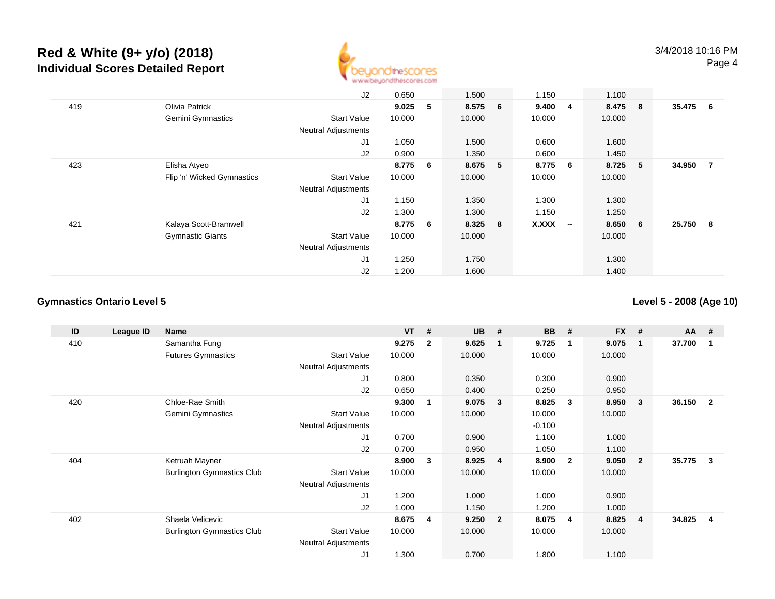

|     |                            | J2                         | 0.650  |   | 1.500   | 1.150        |                          | 1.100   |                 |        |                |
|-----|----------------------------|----------------------------|--------|---|---------|--------------|--------------------------|---------|-----------------|--------|----------------|
| 419 | Olivia Patrick             |                            | 9.025  | 5 | 8.575 6 | 9.4004       |                          | 8.475 8 |                 | 35.475 | 6              |
|     | <b>Gemini Gymnastics</b>   | <b>Start Value</b>         | 10.000 |   | 10.000  | 10.000       |                          | 10.000  |                 |        |                |
|     |                            | <b>Neutral Adjustments</b> |        |   |         |              |                          |         |                 |        |                |
|     |                            | J <sub>1</sub>             | 1.050  |   | 1.500   | 0.600        |                          | 1.600   |                 |        |                |
|     |                            | J2                         | 0.900  |   | 1.350   | 0.600        |                          | 1.450   |                 |        |                |
| 423 | Elisha Atyeo               |                            | 8.775  | 6 | 8.675 5 | 8.775 6      |                          | 8.725   | - 5             | 34.950 | $\overline{7}$ |
|     | Flip 'n' Wicked Gymnastics | <b>Start Value</b>         | 10.000 |   | 10.000  | 10.000       |                          | 10.000  |                 |        |                |
|     |                            | <b>Neutral Adjustments</b> |        |   |         |              |                          |         |                 |        |                |
|     |                            | J1                         | 1.150  |   | 1.350   | 1.300        |                          | 1.300   |                 |        |                |
|     |                            | J2                         | 1.300  |   | 1.300   | 1.150        |                          | 1.250   |                 |        |                |
| 421 | Kalaya Scott-Bramwell      |                            | 8.775  | 6 | 8.325 8 | <b>X.XXX</b> | $\overline{\phantom{a}}$ | 8.650   | $6\overline{6}$ | 25.750 | - 8            |
|     | <b>Gymnastic Giants</b>    | <b>Start Value</b>         | 10.000 |   | 10.000  |              |                          | 10.000  |                 |        |                |
|     |                            | <b>Neutral Adjustments</b> |        |   |         |              |                          |         |                 |        |                |
|     |                            | J <sub>1</sub>             | 1.250  |   | 1.750   |              |                          | 1.300   |                 |        |                |
|     |                            | J2                         | 1.200  |   | 1.600   |              |                          | 1.400   |                 |        |                |

## **Gymnastics Ontario Level 5**

**Level 5 - 2008 (Age 10)**

| ID  | League ID | Name                              |                            | <b>VT</b> | #              | <b>UB</b> | #                       | <b>BB</b> | #            | <b>FX</b> | #              | AA #   |                |
|-----|-----------|-----------------------------------|----------------------------|-----------|----------------|-----------|-------------------------|-----------|--------------|-----------|----------------|--------|----------------|
| 410 |           | Samantha Fung                     |                            | 9.275     | $\overline{2}$ | 9.625     | - 1                     | 9.725     | -1           | 9.075     | $\mathbf{1}$   | 37.700 |                |
|     |           | <b>Futures Gymnastics</b>         | <b>Start Value</b>         | 10.000    |                | 10.000    |                         | 10.000    |              | 10.000    |                |        |                |
|     |           |                                   | Neutral Adjustments        |           |                |           |                         |           |              |           |                |        |                |
|     |           |                                   | J1                         | 0.800     |                | 0.350     |                         | 0.300     |              | 0.900     |                |        |                |
|     |           |                                   | J2                         | 0.650     |                | 0.400     |                         | 0.250     |              | 0.950     |                |        |                |
| 420 |           | Chloe-Rae Smith                   |                            | 9.300     |                | 9.075     | $\mathbf{3}$            | 8.825     | 3            | 8.950     | 3              | 36.150 | $\overline{2}$ |
|     |           | Gemini Gymnastics                 | <b>Start Value</b>         | 10.000    |                | 10.000    |                         | 10.000    |              | 10.000    |                |        |                |
|     |           |                                   | Neutral Adjustments        |           |                |           |                         | $-0.100$  |              |           |                |        |                |
|     |           |                                   | J1                         | 0.700     |                | 0.900     |                         | 1.100     |              | 1.000     |                |        |                |
|     |           |                                   | J <sub>2</sub>             | 0.700     |                | 0.950     |                         | 1.050     |              | 1.100     |                |        |                |
| 404 |           | Ketruah Mayner                    |                            | 8.900     | 3              | 8.925     | $\overline{\mathbf{4}}$ | 8.900     | $\mathbf{2}$ | 9.050     | $\overline{2}$ | 35.775 | 3              |
|     |           | <b>Burlington Gymnastics Club</b> | <b>Start Value</b>         | 10.000    |                | 10.000    |                         | 10.000    |              | 10.000    |                |        |                |
|     |           |                                   | <b>Neutral Adjustments</b> |           |                |           |                         |           |              |           |                |        |                |
|     |           |                                   | J <sub>1</sub>             | 1.200     |                | 1.000     |                         | 1.000     |              | 0.900     |                |        |                |
|     |           |                                   | J2                         | 1.000     |                | 1.150     |                         | 1.200     |              | 1.000     |                |        |                |
| 402 |           | Shaela Velicevic                  |                            | 8.675     | 4              | 9.250     | $\overline{\mathbf{2}}$ | 8.075     | 4            | 8.825     | 4              | 34.825 | 4              |
|     |           | <b>Burlington Gymnastics Club</b> | <b>Start Value</b>         | 10.000    |                | 10.000    |                         | 10.000    |              | 10.000    |                |        |                |
|     |           |                                   | <b>Neutral Adjustments</b> |           |                |           |                         |           |              |           |                |        |                |
|     |           |                                   | J <sub>1</sub>             | 1.300     |                | 0.700     |                         | 1.800     |              | 1.100     |                |        |                |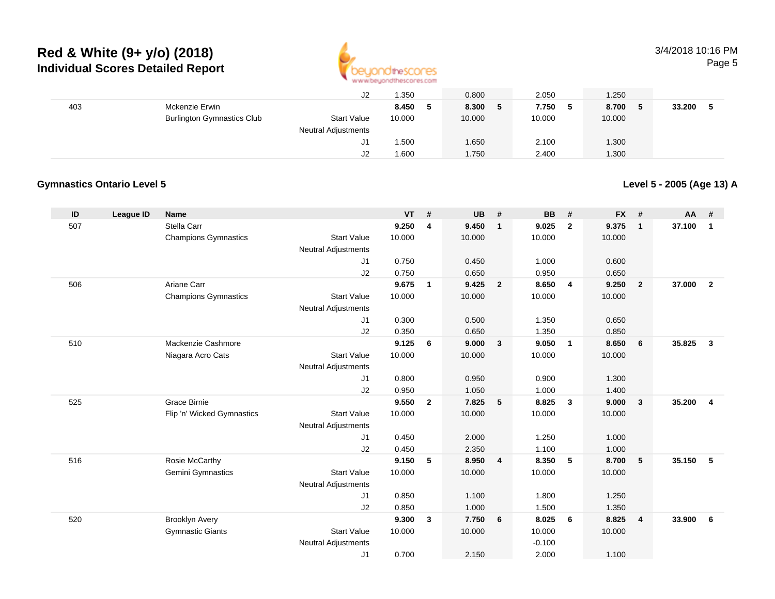

### 3/4/2018 10:16 PMPage 5

|     |                                   | J2                         | 1.350  | 0.800  | 2.050        | 1.250       |        |
|-----|-----------------------------------|----------------------------|--------|--------|--------------|-------------|--------|
| 403 | Mckenzie Erwin                    |                            | 8.450  | 8.300  | 7.750<br>- 5 | 8.700<br>-5 | 33.200 |
|     | <b>Burlington Gymnastics Club</b> | <b>Start Value</b>         | 10.000 | 10.000 | 10.000       | 10.000      |        |
|     |                                   | <b>Neutral Adjustments</b> |        |        |              |             |        |
|     |                                   | J1                         | .500   | 1.650  | 2.100        | 1.300       |        |
|     |                                   | J2                         | 1.600  | 1.750  | 2.400        | 1.300       |        |

## **Gymnastics Ontario Level 5**

**Level 5 - 2005 (Age 13) A**

| ID  | League ID | <b>Name</b>                 |                                  | <b>VT</b> | #                       | <b>UB</b> | #              | <b>BB</b> | #                       | <b>FX</b> | #                       | AA     | #              |
|-----|-----------|-----------------------------|----------------------------------|-----------|-------------------------|-----------|----------------|-----------|-------------------------|-----------|-------------------------|--------|----------------|
| 507 |           | Stella Carr                 |                                  | 9.250     | $\overline{\mathbf{4}}$ | 9.450     | $\mathbf{1}$   | 9.025     | $\overline{2}$          | 9.375     | $\mathbf{1}$            | 37.100 | $\mathbf{1}$   |
|     |           | <b>Champions Gymnastics</b> | <b>Start Value</b>               | 10.000    |                         | 10.000    |                | 10.000    |                         | 10.000    |                         |        |                |
|     |           |                             | <b>Neutral Adjustments</b>       |           |                         |           |                |           |                         |           |                         |        |                |
|     |           |                             | J1                               | 0.750     |                         | 0.450     |                | 1.000     |                         | 0.600     |                         |        |                |
|     |           |                             | J2                               | 0.750     |                         | 0.650     |                | 0.950     |                         | 0.650     |                         |        |                |
| 506 |           | Ariane Carr                 |                                  | 9.675     | $\mathbf{1}$            | 9.425     | $\mathbf{2}$   | 8.650     | $\overline{4}$          | 9.250     | $\overline{\mathbf{2}}$ | 37.000 | $\overline{2}$ |
|     |           | <b>Champions Gymnastics</b> | <b>Start Value</b>               | 10.000    |                         | 10.000    |                | 10.000    |                         | 10.000    |                         |        |                |
|     |           |                             | <b>Neutral Adjustments</b>       |           |                         |           |                |           |                         |           |                         |        |                |
|     |           |                             | J1                               | 0.300     |                         | 0.500     |                | 1.350     |                         | 0.650     |                         |        |                |
|     |           |                             | J2                               | 0.350     |                         | 0.650     |                | 1.350     |                         | 0.850     |                         |        |                |
| 510 |           | Mackenzie Cashmore          |                                  | 9.125     | 6                       | 9.000     | $\mathbf{3}$   | 9.050     | $\overline{1}$          | 8.650     | 6                       | 35.825 | $\mathbf{3}$   |
|     |           | Niagara Acro Cats           | <b>Start Value</b>               | 10.000    |                         | 10.000    |                | 10.000    |                         | 10.000    |                         |        |                |
|     |           |                             | <b>Neutral Adjustments</b><br>J1 | 0.800     |                         | 0.950     |                | 0.900     |                         | 1.300     |                         |        |                |
|     |           |                             | J2                               | 0.950     |                         | 1.050     |                | 1.000     |                         | 1.400     |                         |        |                |
| 525 |           | <b>Grace Birnie</b>         |                                  | 9.550     | $\overline{2}$          | 7.825     | 5              | 8.825     | $\overline{\mathbf{3}}$ | 9.000     | $\overline{\mathbf{3}}$ | 35.200 | $\overline{4}$ |
|     |           | Flip 'n' Wicked Gymnastics  | <b>Start Value</b>               | 10.000    |                         | 10.000    |                | 10.000    |                         | 10.000    |                         |        |                |
|     |           |                             | <b>Neutral Adjustments</b>       |           |                         |           |                |           |                         |           |                         |        |                |
|     |           |                             | J1                               | 0.450     |                         | 2.000     |                | 1.250     |                         | 1.000     |                         |        |                |
|     |           |                             | J2                               | 0.450     |                         | 2.350     |                | 1.100     |                         | 1.000     |                         |        |                |
| 516 |           | Rosie McCarthy              |                                  | 9.150     | 5                       | 8.950     | $\overline{4}$ | 8.350     | -5                      | 8.700     | 5                       | 35.150 | 5              |
|     |           | Gemini Gymnastics           | <b>Start Value</b>               | 10.000    |                         | 10.000    |                | 10.000    |                         | 10.000    |                         |        |                |
|     |           |                             | <b>Neutral Adjustments</b>       |           |                         |           |                |           |                         |           |                         |        |                |
|     |           |                             | J1                               | 0.850     |                         | 1.100     |                | 1.800     |                         | 1.250     |                         |        |                |
|     |           |                             | J2                               | 0.850     |                         | 1.000     |                | 1.500     |                         | 1.350     |                         |        |                |
| 520 |           | <b>Brooklyn Avery</b>       |                                  | 9.300     | $\mathbf{3}$            | 7.750     | 6              | 8.025     | 6                       | 8.825     | $\overline{4}$          | 33,900 | 6              |
|     |           | <b>Gymnastic Giants</b>     | <b>Start Value</b>               | 10.000    |                         | 10.000    |                | 10.000    |                         | 10.000    |                         |        |                |
|     |           |                             | <b>Neutral Adjustments</b>       |           |                         |           |                | $-0.100$  |                         |           |                         |        |                |
|     |           |                             | J1                               | 0.700     |                         | 2.150     |                | 2.000     |                         | 1.100     |                         |        |                |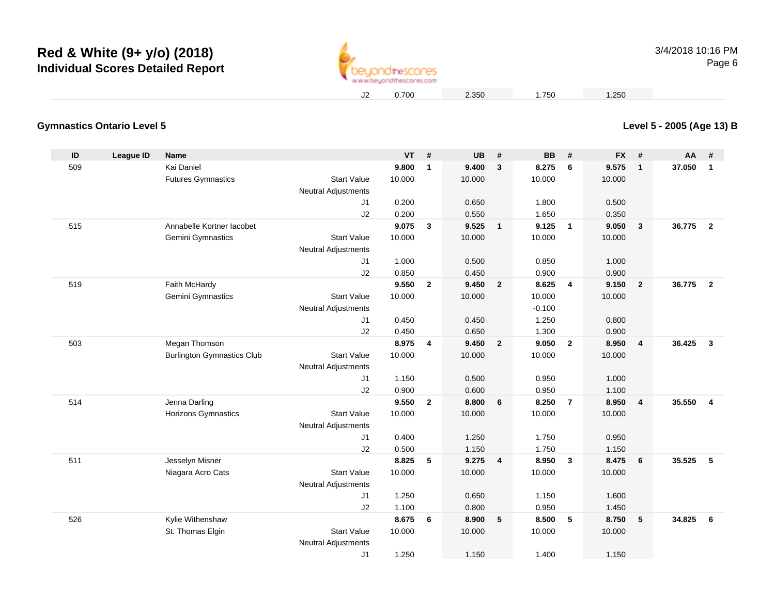

3/4/2018 10:16 PMPage 6

**Level 5 - 2005 (Age 13) B**

0.700 2.350 1.750 1.250

### **Gymnastics Ontario Level 5**

| ID  | <b>League ID</b> | <b>Name</b>                       |                                                  | VT     | #              | <b>UB</b> | #                       | <b>BB</b> | #              | <b>FX</b> | #            | AA     | #                       |
|-----|------------------|-----------------------------------|--------------------------------------------------|--------|----------------|-----------|-------------------------|-----------|----------------|-----------|--------------|--------|-------------------------|
| 509 |                  | Kai Daniel                        |                                                  | 9.800  | $\overline{1}$ | 9.400     | $\mathbf{3}$            | 8.275     | 6              | 9.575     | $\mathbf{1}$ | 37.050 | $\mathbf{1}$            |
|     |                  | <b>Futures Gymnastics</b>         | <b>Start Value</b>                               | 10.000 |                | 10.000    |                         | 10.000    |                | 10.000    |              |        |                         |
|     |                  |                                   | <b>Neutral Adjustments</b>                       |        |                |           |                         |           |                |           |              |        |                         |
|     |                  |                                   | J <sub>1</sub>                                   | 0.200  |                | 0.650     |                         | 1.800     |                | 0.500     |              |        |                         |
|     |                  |                                   | J2                                               | 0.200  |                | 0.550     |                         | 1.650     |                | 0.350     |              |        |                         |
| 515 |                  | Annabelle Kortner lacobet         |                                                  | 9.075  | $\mathbf{3}$   | 9.525     | $\overline{\mathbf{1}}$ | 9.125     | $\overline{1}$ | 9.050     | $\mathbf{3}$ | 36.775 | $\overline{\mathbf{2}}$ |
|     |                  | Gemini Gymnastics                 | <b>Start Value</b>                               | 10.000 |                | 10.000    |                         | 10.000    |                | 10.000    |              |        |                         |
|     |                  |                                   | <b>Neutral Adjustments</b>                       |        |                |           |                         |           |                |           |              |        |                         |
|     |                  |                                   | J <sub>1</sub>                                   | 1.000  |                | 0.500     |                         | 0.850     |                | 1.000     |              |        |                         |
|     |                  |                                   | J2                                               | 0.850  |                | 0.450     |                         | 0.900     |                | 0.900     |              |        |                         |
| 519 |                  | Faith McHardy                     |                                                  | 9.550  | $\overline{2}$ | 9.450     | $\overline{\mathbf{2}}$ | 8.625     | 4              | 9.150     | $\mathbf{2}$ | 36.775 | $\overline{\mathbf{2}}$ |
|     |                  | Gemini Gymnastics                 | <b>Start Value</b>                               | 10.000 |                | 10.000    |                         | 10.000    |                | 10.000    |              |        |                         |
|     |                  |                                   | <b>Neutral Adjustments</b>                       |        |                |           |                         | $-0.100$  |                |           |              |        |                         |
|     |                  |                                   | J1                                               | 0.450  |                | 0.450     |                         | 1.250     |                | 0.800     |              |        |                         |
|     |                  |                                   | J2                                               | 0.450  |                | 0.650     |                         | 1.300     |                | 0.900     |              |        |                         |
| 503 |                  | Megan Thomson                     |                                                  | 8.975  | 4              | 9.450     | $\overline{\mathbf{2}}$ | 9.050     | $\overline{2}$ | 8.950     | 4            | 36.425 | $\mathbf{3}$            |
|     |                  | <b>Burlington Gymnastics Club</b> | <b>Start Value</b>                               | 10.000 |                | 10.000    |                         | 10.000    |                | 10.000    |              |        |                         |
|     |                  |                                   | Neutral Adjustments                              |        |                |           |                         |           |                |           |              |        |                         |
|     |                  |                                   | J1                                               | 1.150  |                | 0.500     |                         | 0.950     |                | 1.000     |              |        |                         |
|     |                  |                                   | J2                                               | 0.900  |                | 0.600     |                         | 0.950     |                | 1.100     |              |        |                         |
| 514 |                  | Jenna Darling                     |                                                  | 9.550  | $\overline{2}$ | 8.800     | 6                       | 8.250     | $\overline{7}$ | 8.950     | 4            | 35.550 | $\overline{4}$          |
|     |                  | <b>Horizons Gymnastics</b>        | <b>Start Value</b><br><b>Neutral Adjustments</b> | 10.000 |                | 10.000    |                         | 10.000    |                | 10.000    |              |        |                         |
|     |                  |                                   | J <sub>1</sub>                                   | 0.400  |                | 1.250     |                         | 1.750     |                | 0.950     |              |        |                         |
|     |                  |                                   | J2                                               | 0.500  |                | 1.150     |                         | 1.750     |                | 1.150     |              |        |                         |
| 511 |                  | Jesselyn Misner                   |                                                  | 8.825  | 5              | 9.275     | $\overline{\mathbf{4}}$ | 8.950     | $\mathbf{3}$   | 8.475     | 6            | 35.525 | 5                       |
|     |                  | Niagara Acro Cats                 | <b>Start Value</b>                               | 10.000 |                | 10.000    |                         | 10.000    |                | 10.000    |              |        |                         |
|     |                  |                                   | <b>Neutral Adjustments</b>                       |        |                |           |                         |           |                |           |              |        |                         |
|     |                  |                                   | J <sub>1</sub>                                   | 1.250  |                | 0.650     |                         | 1.150     |                | 1.600     |              |        |                         |
|     |                  |                                   | J2                                               | 1.100  |                | 0.800     |                         | 0.950     |                | 1.450     |              |        |                         |
| 526 |                  | Kylie Withenshaw                  |                                                  | 8.675  | 6              | 8.900     | 5                       | 8.500     | 5              | 8.750     | 5            | 34.825 | 6                       |
|     |                  | St. Thomas Elgin                  | <b>Start Value</b>                               | 10.000 |                | 10.000    |                         | 10.000    |                | 10.000    |              |        |                         |
|     |                  |                                   | Neutral Adjustments                              |        |                |           |                         |           |                |           |              |        |                         |
|     |                  |                                   | J1                                               | 1.250  |                | 1.150     |                         | 1.400     |                | 1.150     |              |        |                         |
|     |                  |                                   |                                                  |        |                |           |                         |           |                |           |              |        |                         |